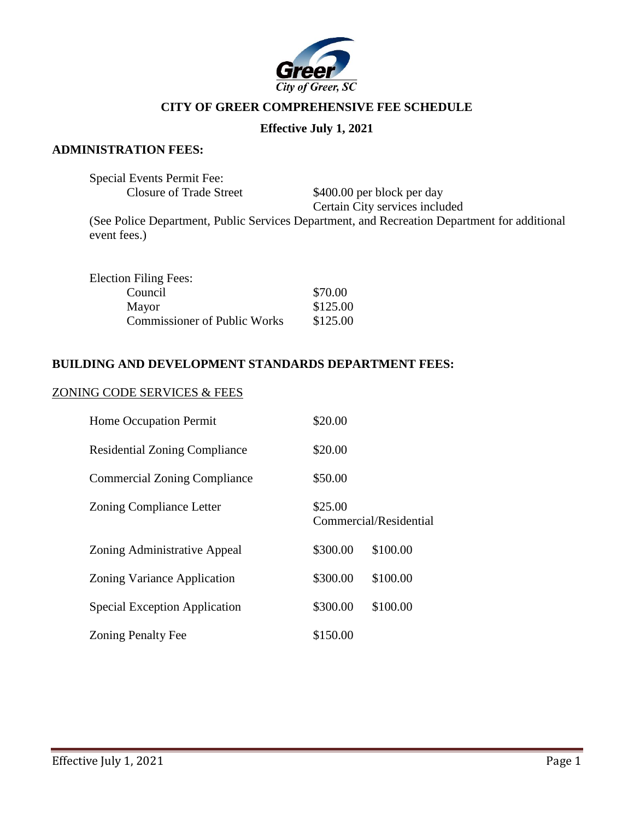

# **CITY OF GREER COMPREHENSIVE FEE SCHEDULE**

## **Effective July 1, 2021**

#### **ADMINISTRATION FEES:**

| <b>Special Events Permit Fee:</b> |                                                                                              |
|-----------------------------------|----------------------------------------------------------------------------------------------|
| Closure of Trade Street           | \$400.00 per block per day                                                                   |
|                                   | Certain City services included                                                               |
| event fees.)                      | (See Police Department, Public Services Department, and Recreation Department for additional |

| <b>Election Filing Fees:</b>        |          |
|-------------------------------------|----------|
| Council                             | \$70.00  |
| Mayor                               | \$125.00 |
| <b>Commissioner of Public Works</b> | \$125.00 |

# **BUILDING AND DEVELOPMENT STANDARDS DEPARTMENT FEES:**

#### ZONING CODE SERVICES & FEES

| Home Occupation Permit               | \$20.00  |                        |
|--------------------------------------|----------|------------------------|
| <b>Residential Zoning Compliance</b> | \$20.00  |                        |
| <b>Commercial Zoning Compliance</b>  | \$50.00  |                        |
| <b>Zoning Compliance Letter</b>      | \$25.00  | Commercial/Residential |
| Zoning Administrative Appeal         | \$300.00 | \$100.00               |
| Zoning Variance Application          | \$300.00 | \$100.00               |
| Special Exception Application        | \$300.00 | \$100.00               |
| <b>Zoning Penalty Fee</b>            | \$150.00 |                        |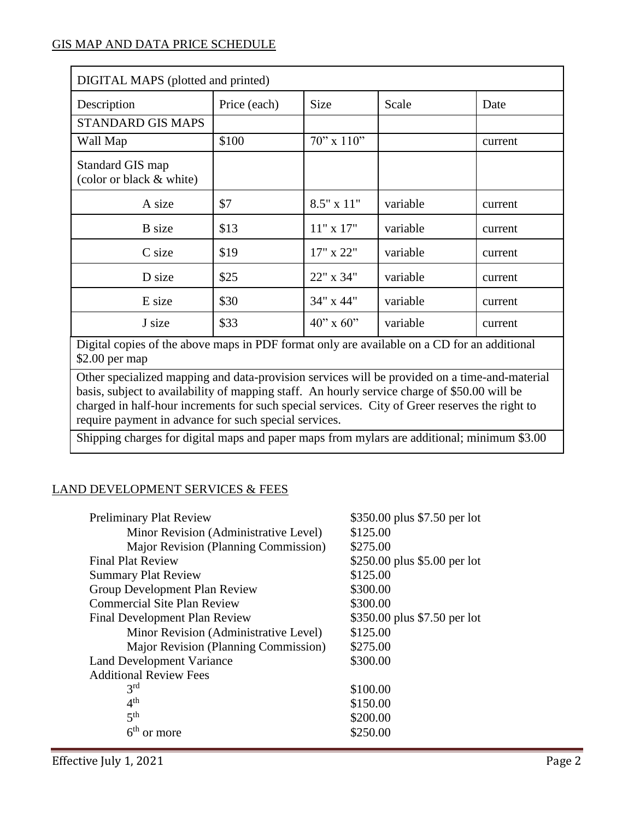| DIGITAL MAPS (plotted and printed)                                                          |              |                    |          |         |
|---------------------------------------------------------------------------------------------|--------------|--------------------|----------|---------|
| Description                                                                                 | Price (each) | <b>Size</b>        | Scale    | Date    |
| <b>STANDARD GIS MAPS</b>                                                                    |              |                    |          |         |
| Wall Map                                                                                    | \$100        | $70$ " x $110$ "   |          | current |
| Standard GIS map<br>(color or black & white)                                                |              |                    |          |         |
| A size                                                                                      | \$7          | $8.5" \times 11"$  | variable | current |
| <b>B</b> size                                                                               | \$13         | $11"$ x 17"        | variable | current |
| C size                                                                                      | \$19         | 17" x 22"          | variable | current |
| D size                                                                                      | \$25         | 22" x 34"          | variable | current |
| E size                                                                                      | \$30         | 34" x 44"          | variable | current |
| J size                                                                                      | \$33         | $40'' \times 60''$ | variable | current |
| Digital conice of the chara mane in DDE formet only are evailable on a CD for an additional |              |                    |          |         |

Digital copies of the above maps in PDF format only are available on a CD for an additional \$2.00 per map

Other specialized mapping and data-provision services will be provided on a time-and-material basis, subject to availability of mapping staff. An hourly service charge of \$50.00 will be charged in half-hour increments for such special services. City of Greer reserves the right to require payment in advance for such special services.

Shipping charges for digital maps and paper maps from mylars are additional; minimum \$3.00

# LAND DEVELOPMENT SERVICES & FEES

| <b>Preliminary Plat Review</b>              | \$350.00 plus \$7.50 per lot |
|---------------------------------------------|------------------------------|
| Minor Revision (Administrative Level)       | \$125.00                     |
| <b>Major Revision (Planning Commission)</b> | \$275.00                     |
| <b>Final Plat Review</b>                    | \$250.00 plus \$5.00 per lot |
| <b>Summary Plat Review</b>                  | \$125.00                     |
| Group Development Plan Review               | \$300.00                     |
| <b>Commercial Site Plan Review</b>          | \$300.00                     |
| <b>Final Development Plan Review</b>        | \$350.00 plus \$7.50 per lot |
| Minor Revision (Administrative Level)       | \$125.00                     |
| Major Revision (Planning Commission)        | \$275.00                     |
| <b>Land Development Variance</b>            | \$300.00                     |
| <b>Additional Review Fees</b>               |                              |
| 3 <sup>rd</sup>                             | \$100.00                     |
| 4 <sup>th</sup>                             | \$150.00                     |
| 5 <sup>th</sup>                             | \$200.00                     |
| 6 <sup>th</sup><br>or more                  | \$250.00                     |
|                                             |                              |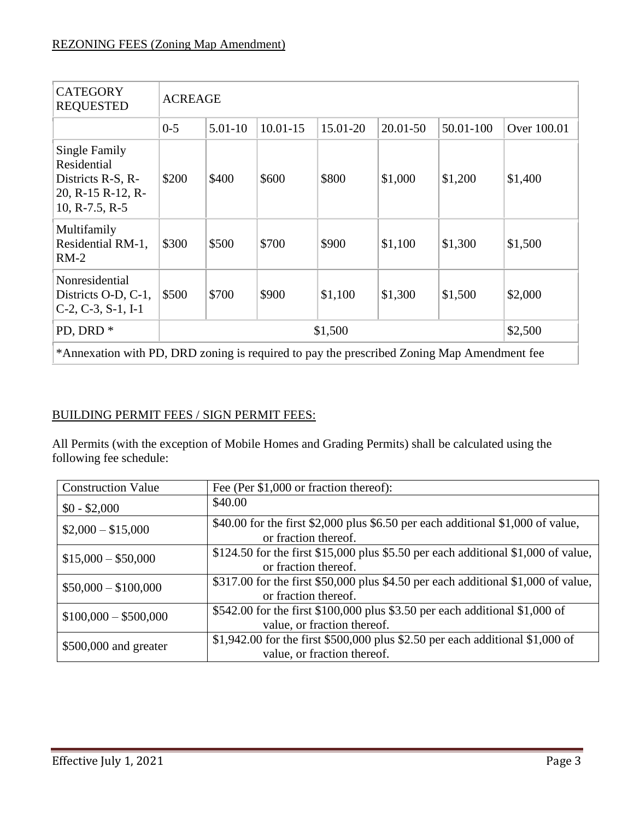| <b>CATEGORY</b><br><b>REQUESTED</b>                                                        | <b>ACREAGE</b>     |           |              |          |          |           |             |
|--------------------------------------------------------------------------------------------|--------------------|-----------|--------------|----------|----------|-----------|-------------|
|                                                                                            | $0 - 5$            | $5.01-10$ | $10.01 - 15$ | 15.01-20 | 20.01-50 | 50.01-100 | Over 100.01 |
| Single Family<br>Residential<br>Districts R-S, R-<br>20, R-15 R-12, R-<br>10, R-7.5, R-5   | \$200              | \$400     | \$600        | \$800    | \$1,000  | \$1,200   | \$1,400     |
| Multifamily<br>Residential RM-1,<br>$RM-2$                                                 | \$300              | \$500     | \$700        | \$900    | \$1,100  | \$1,300   | \$1,500     |
| Nonresidential<br>Districts O-D, C-1,<br>$C-2$ , $C-3$ , $S-1$ , $I-1$                     | \$500              | \$700     | \$900        | \$1,100  | \$1,300  | \$1,500   | \$2,000     |
| PD, DRD <sup>*</sup>                                                                       | \$2,500<br>\$1,500 |           |              |          |          |           |             |
| *Annexation with PD, DRD zoning is required to pay the prescribed Zoning Map Amendment fee |                    |           |              |          |          |           |             |

# BUILDING PERMIT FEES / SIGN PERMIT FEES:

All Permits (with the exception of Mobile Homes and Grading Permits) shall be calculated using the following fee schedule:

| <b>Construction Value</b> | Fee (Per \$1,000 or fraction thereof):                                                                       |
|---------------------------|--------------------------------------------------------------------------------------------------------------|
| $$0 - $2,000$             | \$40.00                                                                                                      |
| $$2,000 - $15,000$        | \$40.00 for the first \$2,000 plus \$6.50 per each additional \$1,000 of value,<br>or fraction thereof.      |
| $$15,000 - $50,000$       | \$124.50 for the first \$15,000 plus \$5.50 per each additional \$1,000 of value,<br>or fraction thereof.    |
| $$50,000 - $100,000$      | \$317.00 for the first \$50,000 plus \$4.50 per each additional \$1,000 of value,<br>or fraction thereof.    |
| $$100,000 - $500,000$     | \$542.00 for the first \$100,000 plus \$3.50 per each additional \$1,000 of<br>value, or fraction thereof.   |
| $$500,000$ and greater    | \$1,942.00 for the first \$500,000 plus \$2.50 per each additional \$1,000 of<br>value, or fraction thereof. |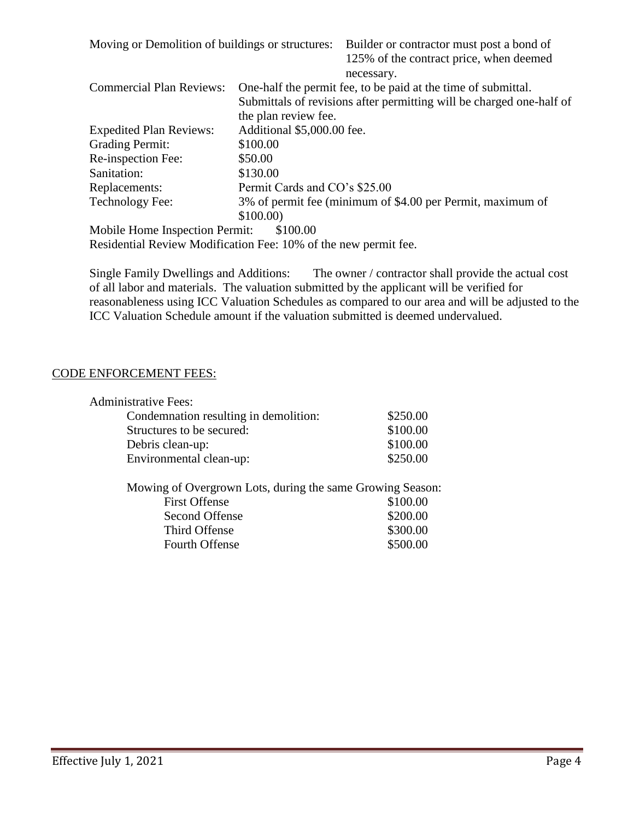| Moving or Demolition of buildings or structures: |                               | Builder or contractor must post a bond of<br>125% of the contract price, when deemed |  |  |
|--------------------------------------------------|-------------------------------|--------------------------------------------------------------------------------------|--|--|
|                                                  |                               | necessary.                                                                           |  |  |
| <b>Commercial Plan Reviews:</b>                  |                               | One-half the permit fee, to be paid at the time of submittal.                        |  |  |
|                                                  |                               | Submittals of revisions after permitting will be charged one-half of                 |  |  |
|                                                  | the plan review fee.          |                                                                                      |  |  |
| <b>Expedited Plan Reviews:</b>                   | Additional \$5,000.00 fee.    |                                                                                      |  |  |
| <b>Grading Permit:</b>                           | \$100.00                      |                                                                                      |  |  |
| Re-inspection Fee:                               | \$50.00                       |                                                                                      |  |  |
| Sanitation:                                      | \$130.00                      |                                                                                      |  |  |
| Replacements:                                    | Permit Cards and CO's \$25.00 |                                                                                      |  |  |
| Technology Fee:                                  |                               | 3% of permit fee (minimum of \$4.00 per Permit, maximum of                           |  |  |
|                                                  | \$100.00                      |                                                                                      |  |  |
| Mobile Home Inspection Permit:                   | \$100.00                      |                                                                                      |  |  |

Residential Review Modification Fee: 10% of the new permit fee.

Single Family Dwellings and Additions: The owner / contractor shall provide the actual cost of all labor and materials. The valuation submitted by the applicant will be verified for reasonableness using ICC Valuation Schedules as compared to our area and will be adjusted to the ICC Valuation Schedule amount if the valuation submitted is deemed undervalued.

### CODE ENFORCEMENT FEES:

| <b>Administrative Fees:</b>                               |          |
|-----------------------------------------------------------|----------|
| Condemnation resulting in demolition:                     | \$250.00 |
| Structures to be secured:                                 | \$100.00 |
| Debris clean-up:                                          | \$100.00 |
| Environmental clean-up:                                   | \$250.00 |
| Mowing of Overgrown Lots, during the same Growing Season: |          |
| <b>First Offense</b>                                      |          |

| First Offense         | DIUU.UU  |
|-----------------------|----------|
| Second Offense        | \$200.00 |
| Third Offense         | \$300.00 |
| <b>Fourth Offense</b> | \$500.00 |
|                       |          |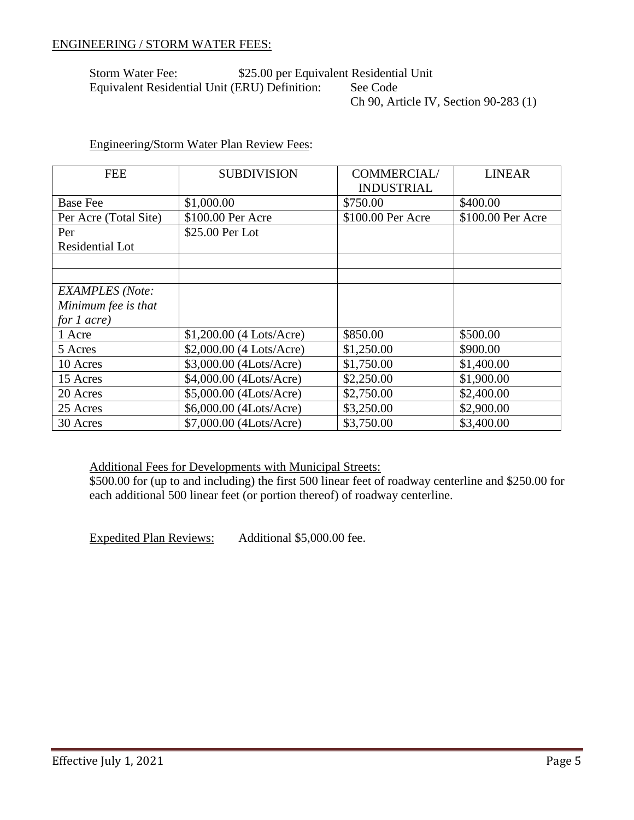#### ENGINEERING / STORM WATER FEES:

#### Storm Water Fee: \$25.00 per Equivalent Residential Unit Equivalent Residential Unit (ERU) Definition: See Code Ch 90, Article IV, Section 90-283 (1)

## Engineering/Storm Water Plan Review Fees:

| <b>FEE</b>             | <b>SUBDIVISION</b>        | COMMERCIAL/<br><b>INDUSTRIAL</b> | <b>LINEAR</b>     |
|------------------------|---------------------------|----------------------------------|-------------------|
| <b>Base Fee</b>        | \$1,000.00                | \$750.00                         | \$400.00          |
| Per Acre (Total Site)  | \$100.00 Per Acre         | \$100.00 Per Acre                | \$100.00 Per Acre |
| Per                    | \$25.00 Per Lot           |                                  |                   |
| Residential Lot        |                           |                                  |                   |
|                        |                           |                                  |                   |
|                        |                           |                                  |                   |
| <b>EXAMPLES</b> (Note: |                           |                                  |                   |
| Minimum fee is that    |                           |                                  |                   |
| for $1$ acre)          |                           |                                  |                   |
| 1 Acre                 | $$1,200.00$ (4 Lots/Acre) | \$850.00                         | \$500.00          |
| 5 Acres                | \$2,000.00 (4 Lots/Acre)  | \$1,250.00                       | \$900.00          |
| 10 Acres               | \$3,000.00 (4Lots/Acre)   | \$1,750.00                       | \$1,400.00        |
| 15 Acres               | \$4,000.00 (4Lots/Acre)   | \$2,250.00                       | \$1,900.00        |
| 20 Acres               | \$5,000.00 (4Lots/Acre)   | \$2,750.00                       | \$2,400.00        |
| 25 Acres               | \$6,000.00 (4Lots/Acre)   | \$3,250.00                       | \$2,900.00        |
| 30 Acres               | \$7,000.00 (4Lots/Acre)   | \$3,750.00                       | \$3,400.00        |

Additional Fees for Developments with Municipal Streets:

\$500.00 for (up to and including) the first 500 linear feet of roadway centerline and \$250.00 for each additional 500 linear feet (or portion thereof) of roadway centerline.

Expedited Plan Reviews: Additional \$5,000.00 fee.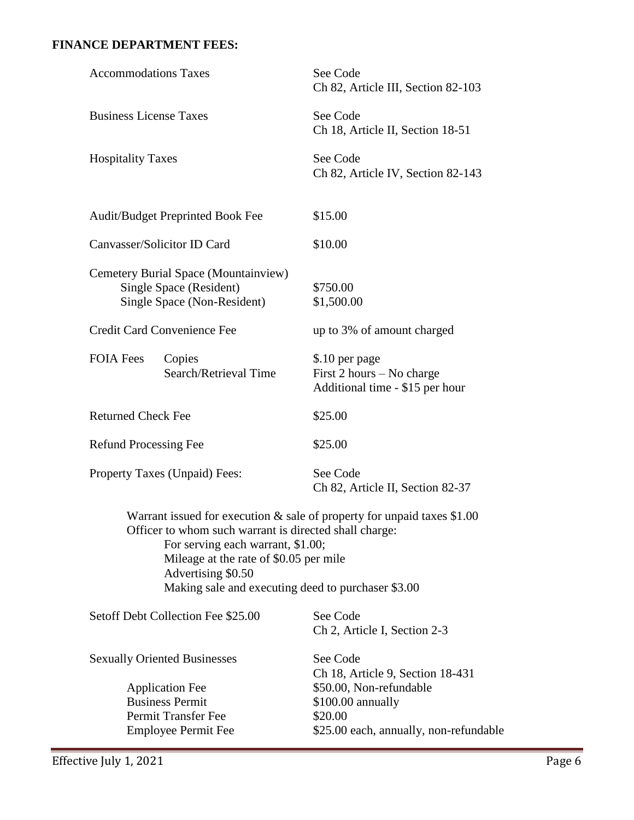## **FINANCE DEPARTMENT FEES:**

| Effective July 1, 2021                                                                                                                                  |                                                                                | Page 6 |
|---------------------------------------------------------------------------------------------------------------------------------------------------------|--------------------------------------------------------------------------------|--------|
| Employee Permit Fee                                                                                                                                     | \$25.00 each, annually, non-refundable                                         |        |
| Permit Transfer Fee                                                                                                                                     | \$20.00                                                                        |        |
| <b>Business Permit</b>                                                                                                                                  | \$100.00 annually                                                              |        |
| <b>Application Fee</b>                                                                                                                                  | Ch 18, Article 9, Section 18-431<br>\$50.00, Non-refundable                    |        |
| <b>Sexually Oriented Businesses</b>                                                                                                                     | See Code                                                                       |        |
| Setoff Debt Collection Fee \$25.00                                                                                                                      | See Code<br>Ch 2, Article I, Section 2-3                                       |        |
| For serving each warrant, \$1.00;<br>Mileage at the rate of \$0.05 per mile<br>Advertising \$0.50<br>Making sale and executing deed to purchaser \$3.00 |                                                                                |        |
| Officer to whom such warrant is directed shall charge:                                                                                                  | Warrant issued for execution $\&$ sale of property for unpaid taxes \$1.00     |        |
| Property Taxes (Unpaid) Fees:                                                                                                                           | See Code<br>Ch 82, Article II, Section 82-37                                   |        |
| <b>Refund Processing Fee</b>                                                                                                                            | \$25.00                                                                        |        |
| <b>Returned Check Fee</b>                                                                                                                               | \$25.00                                                                        |        |
| <b>FOIA Fees</b><br>Copies<br>Search/Retrieval Time                                                                                                     | \$.10 per page<br>First 2 hours – No charge<br>Additional time - \$15 per hour |        |
| Credit Card Convenience Fee                                                                                                                             | up to 3% of amount charged                                                     |        |
| Cemetery Burial Space (Mountainview)<br>Single Space (Resident)<br>Single Space (Non-Resident)                                                          | \$750.00<br>\$1,500.00                                                         |        |
| Canvasser/Solicitor ID Card                                                                                                                             | \$10.00                                                                        |        |
| Audit/Budget Preprinted Book Fee                                                                                                                        | \$15.00                                                                        |        |
| <b>Hospitality Taxes</b>                                                                                                                                | See Code<br>Ch 82, Article IV, Section 82-143                                  |        |
| <b>Business License Taxes</b>                                                                                                                           | See Code<br>Ch 18, Article II, Section 18-51                                   |        |
| <b>Accommodations Taxes</b>                                                                                                                             | See Code<br>Ch 82, Article III, Section 82-103                                 |        |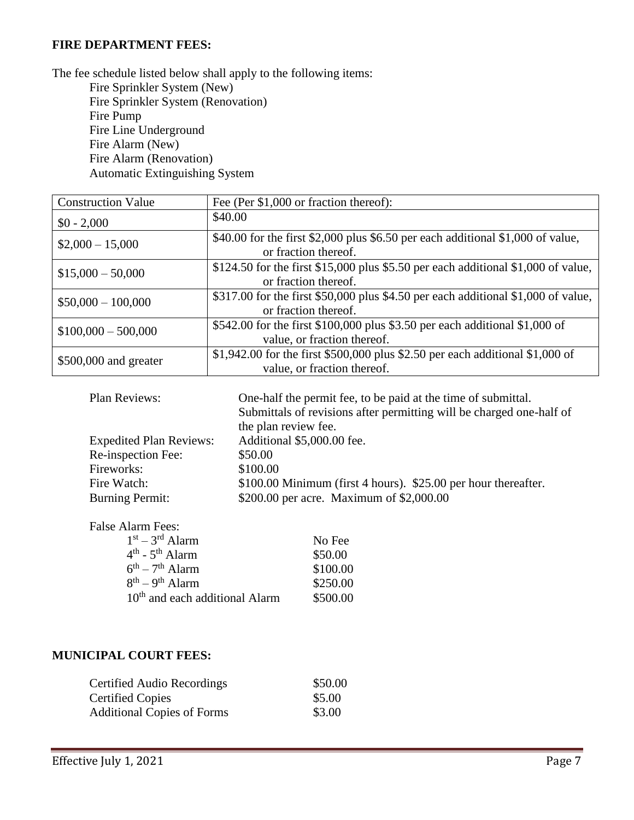#### **FIRE DEPARTMENT FEES:**

The fee schedule listed below shall apply to the following items: Fire Sprinkler System (New) Fire Sprinkler System (Renovation) Fire Pump Fire Line Underground Fire Alarm (New) Fire Alarm (Renovation) Automatic Extinguishing System

| <b>Construction Value</b> | Fee (Per \$1,000 or fraction thereof):                                                                       |  |
|---------------------------|--------------------------------------------------------------------------------------------------------------|--|
| $$0 - 2,000$              | \$40.00                                                                                                      |  |
| $$2,000 - 15,000$         | \$40.00 for the first \$2,000 plus \$6.50 per each additional \$1,000 of value,<br>or fraction thereof.      |  |
| $$15,000 - 50,000$        | \$124.50 for the first \$15,000 plus \$5.50 per each additional \$1,000 of value,<br>or fraction thereof.    |  |
| $$50,000 - 100,000$       | \$317.00 for the first \$50,000 plus \$4.50 per each additional \$1,000 of value,<br>or fraction thereof.    |  |
| $$100,000 - 500,000$      | \$542.00 for the first \$100,000 plus \$3.50 per each additional \$1,000 of<br>value, or fraction thereof.   |  |
| \$500,000 and greater     | \$1,942.00 for the first \$500,000 plus \$2.50 per each additional \$1,000 of<br>value, or fraction thereof. |  |

| Plan Reviews:                  | One-half the permit fee, to be paid at the time of submittal.        |
|--------------------------------|----------------------------------------------------------------------|
|                                | Submittals of revisions after permitting will be charged one-half of |
|                                | the plan review fee.                                                 |
| <b>Expedited Plan Reviews:</b> | Additional \$5,000.00 fee.                                           |
| Re-inspection Fee:             | \$50.00                                                              |
| Fireworks:                     | \$100.00                                                             |
| Fire Watch:                    | \$100.00 Minimum (first 4 hours). \$25.00 per hour thereafter.       |
| <b>Burning Permit:</b>         | \$200.00 per acre. Maximum of \$2,000.00                             |

False Alarm Fees:

| $1st - 3rd$ Alarm                          | No Fee   |
|--------------------------------------------|----------|
| $4th$ - $5th$ Alarm                        | \$50.00  |
| $6^{th} - 7^{th}$ Alarm                    | \$100.00 |
| $8^{th} - 9^{th}$ Alarm                    | \$250.00 |
| 10 <sup>th</sup> and each additional Alarm | \$500.00 |

### **MUNICIPAL COURT FEES:**

| <b>Certified Audio Recordings</b> | \$50.00 |
|-----------------------------------|---------|
| <b>Certified Copies</b>           | \$5.00  |
| <b>Additional Copies of Forms</b> | \$3.00  |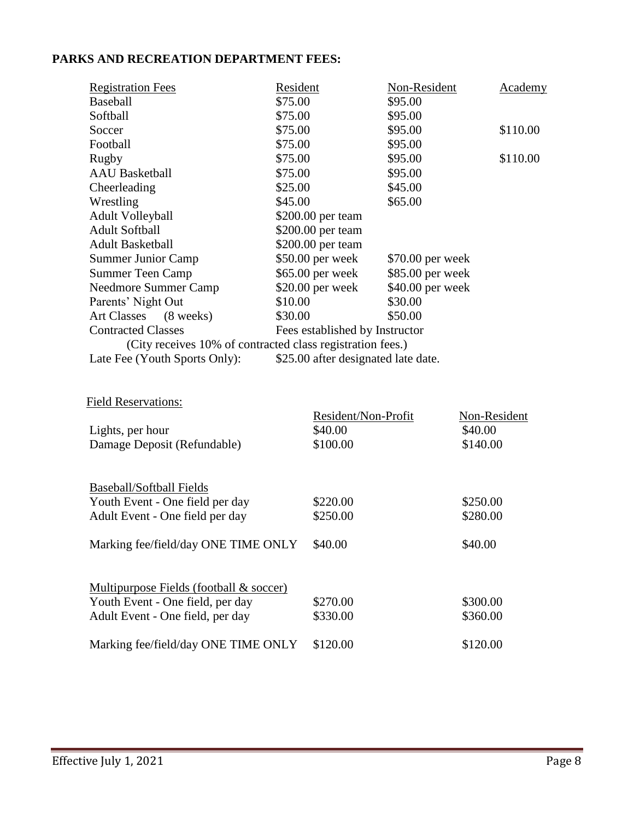# **PARKS AND RECREATION DEPARTMENT FEES:**

| <b>Registration Fees</b>                                   | Resident |                                     | Non-Resident     |          | Academy      |
|------------------------------------------------------------|----------|-------------------------------------|------------------|----------|--------------|
| Baseball                                                   | \$75.00  |                                     | \$95.00          |          |              |
| Softball                                                   | \$75.00  |                                     | \$95.00          |          |              |
| Soccer                                                     | \$75.00  |                                     | \$95.00          |          | \$110.00     |
| Football                                                   | \$75.00  |                                     | \$95.00          |          |              |
| <b>Rugby</b>                                               | \$75.00  |                                     | \$95.00          |          | \$110.00     |
| <b>AAU</b> Basketball                                      | \$75.00  |                                     | \$95.00          |          |              |
| Cheerleading                                               | \$25.00  |                                     | \$45.00          |          |              |
| Wrestling                                                  | \$45.00  |                                     | \$65.00          |          |              |
| <b>Adult Volleyball</b>                                    |          | \$200.00 per team                   |                  |          |              |
| <b>Adult Softball</b>                                      |          | \$200.00 per team                   |                  |          |              |
| <b>Adult Basketball</b>                                    |          | \$200.00 per team                   |                  |          |              |
| <b>Summer Junior Camp</b>                                  |          | \$50.00 per week                    | \$70.00 per week |          |              |
| <b>Summer Teen Camp</b>                                    |          | \$65.00 per week                    | \$85.00 per week |          |              |
| <b>Needmore Summer Camp</b>                                |          | \$20.00 per week                    | \$40.00 per week |          |              |
| Parents' Night Out                                         | \$10.00  |                                     | \$30.00          |          |              |
| <b>Art Classes</b><br>$(8 \text{ weeks})$                  | \$30.00  |                                     | \$50.00          |          |              |
| <b>Contracted Classes</b>                                  |          | Fees established by Instructor      |                  |          |              |
| (City receives 10% of contracted class registration fees.) |          |                                     |                  |          |              |
| Late Fee (Youth Sports Only):                              |          | \$25.00 after designated late date. |                  |          |              |
| <b>Field Reservations:</b>                                 |          | Resident/Non-Profit                 |                  |          | Non-Resident |
| Lights, per hour                                           |          | \$40.00                             |                  | \$40.00  |              |
| Damage Deposit (Refundable)                                |          | \$100.00                            |                  | \$140.00 |              |
|                                                            |          |                                     |                  |          |              |
| <b>Baseball/Softball Fields</b>                            |          |                                     |                  |          |              |
| Youth Event - One field per day                            |          | \$220.00                            |                  | \$250.00 |              |
| Adult Event - One field per day                            |          | \$250.00                            |                  | \$280.00 |              |
|                                                            |          |                                     |                  |          |              |
| Marking fee/field/day ONE TIME ONLY \$40.00                |          |                                     |                  | \$40.00  |              |
|                                                            |          |                                     |                  |          |              |
| Multipurpose Fields (football & soccer)                    |          |                                     |                  |          |              |
| Youth Event - One field, per day                           |          | \$270.00                            |                  | \$300.00 |              |
| Adult Event - One field, per day                           |          | \$330.00                            |                  | \$360.00 |              |
| Marking fee/field/day ONE TIME ONLY                        |          | \$120.00                            |                  | \$120.00 |              |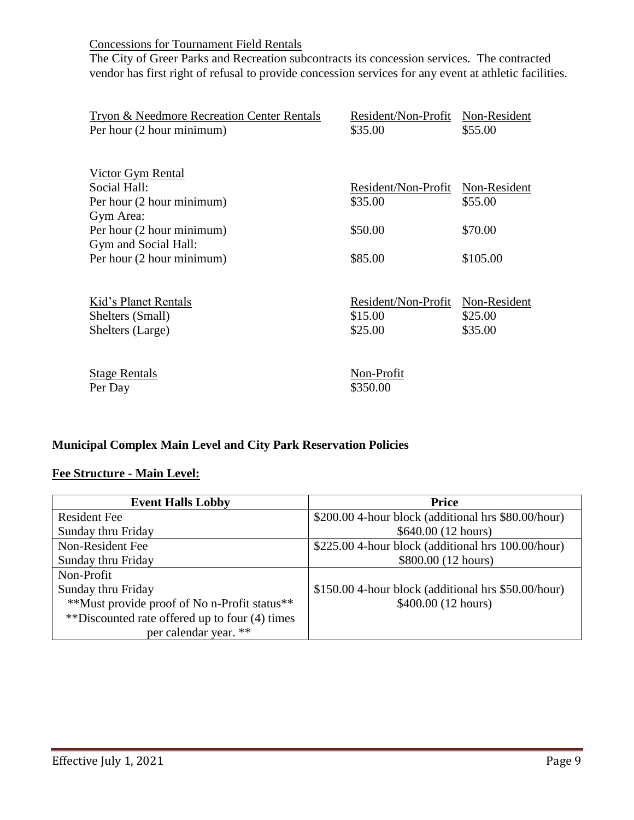Concessions for Tournament Field Rentals

The City of Greer Parks and Recreation subcontracts its concession services. The contracted vendor has first right of refusal to provide concession services for any event at athletic facilities.

| <b>Tryon &amp; Needmore Recreation Center Rentals</b> | Resident/Non-Profit Non-Resident |              |
|-------------------------------------------------------|----------------------------------|--------------|
| Per hour (2 hour minimum)                             | \$35.00                          | \$55.00      |
|                                                       |                                  |              |
|                                                       |                                  |              |
| Victor Gym Rental                                     |                                  |              |
| Social Hall:                                          | Resident/Non-Profit              | Non-Resident |
| Per hour (2 hour minimum)                             | \$35.00                          | \$55.00      |
| Gym Area:                                             |                                  |              |
| Per hour (2 hour minimum)                             | \$50.00                          | \$70.00      |
| Gym and Social Hall:                                  |                                  |              |
| Per hour (2 hour minimum)                             | \$85.00                          | \$105.00     |
|                                                       |                                  |              |
|                                                       |                                  |              |
| Kid's Planet Rentals                                  | Resident/Non-Profit              | Non-Resident |
| Shelters (Small)                                      | \$15.00                          | \$25.00      |
| Shelters (Large)                                      | \$25.00                          | \$35.00      |
|                                                       |                                  |              |
|                                                       |                                  |              |
| <b>Stage Rentals</b>                                  | Non-Profit                       |              |
| Per Day                                               | \$350.00                         |              |

### **Municipal Complex Main Level and City Park Reservation Policies**

### **Fee Structure - Main Level:**

| <b>Event Halls Lobby</b>                       | <b>Price</b>                                        |  |
|------------------------------------------------|-----------------------------------------------------|--|
| <b>Resident Fee</b>                            | \$200.00 4-hour block (additional hrs \$80.00/hour) |  |
| Sunday thru Friday                             | \$640.00 (12 hours)                                 |  |
| Non-Resident Fee                               | \$225.00 4-hour block (additional hrs 100.00/hour)  |  |
| Sunday thru Friday                             | \$800.00 (12 hours)                                 |  |
| Non-Profit                                     |                                                     |  |
| Sunday thru Friday                             | \$150.00 4-hour block (additional hrs \$50.00/hour) |  |
| **Must provide proof of No n-Profit status**   | \$400.00(12 hours)                                  |  |
| **Discounted rate offered up to four (4) times |                                                     |  |
| per calendar year. **                          |                                                     |  |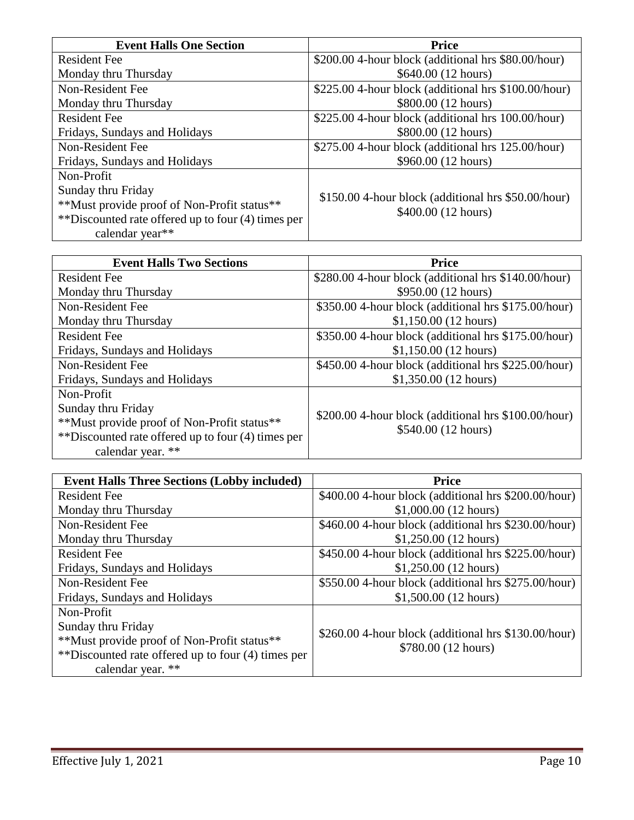| <b>Event Halls One Section</b>                     | <b>Price</b>                                         |
|----------------------------------------------------|------------------------------------------------------|
| <b>Resident Fee</b>                                | \$200.00 4-hour block (additional hrs \$80.00/hour)  |
| Monday thru Thursday                               | \$640.00 (12 hours)                                  |
| Non-Resident Fee                                   | \$225.00 4-hour block (additional hrs \$100.00/hour) |
| Monday thru Thursday                               | \$800.00 (12 hours)                                  |
| <b>Resident Fee</b>                                | \$225.00 4-hour block (additional hrs 100.00/hour)   |
| Fridays, Sundays and Holidays                      | \$800.00 (12 hours)                                  |
| Non-Resident Fee                                   | \$275.00 4-hour block (additional hrs 125.00/hour)   |
| Fridays, Sundays and Holidays                      | \$960.00 (12 hours)                                  |
| Non-Profit                                         |                                                      |
| Sunday thru Friday                                 |                                                      |
| **Must provide proof of Non-Profit status**        | \$150.00 4-hour block (additional hrs \$50.00/hour)  |
| **Discounted rate offered up to four (4) times per | \$400.00(12 hours)                                   |
| calendar year**                                    |                                                      |

| <b>Event Halls Two Sections</b>                    | <b>Price</b>                                            |  |
|----------------------------------------------------|---------------------------------------------------------|--|
| <b>Resident Fee</b>                                | \$280.00 4-hour block (additional hrs \$140.00/hour)    |  |
| Monday thru Thursday                               | \$950.00 (12 hours)                                     |  |
| Non-Resident Fee                                   | \$350.00 4-hour block (additional hrs \$175.00/hour)    |  |
| Monday thru Thursday                               | \$1,150.00(12 hours)                                    |  |
| <b>Resident Fee</b>                                | \$350.00 4-hour block (additional hrs \$175.00/hour)    |  |
| Fridays, Sundays and Holidays                      | \$1,150.00(12 hours)                                    |  |
| Non-Resident Fee                                   | $$450.00$ 4-hour block (additional hrs $$225.00/hour$ ) |  |
| Fridays, Sundays and Holidays                      | $$1,350.00$ (12 hours)                                  |  |
| Non-Profit                                         |                                                         |  |
| Sunday thru Friday                                 | \$200.00 4-hour block (additional hrs \$100.00/hour)    |  |
| **Must provide proof of Non-Profit status**        |                                                         |  |
| **Discounted rate offered up to four (4) times per | \$540.00 (12 hours)                                     |  |
| calendar year. **                                  |                                                         |  |

| <b>Event Halls Three Sections (Lobby included)</b> | <b>Price</b>                                            |
|----------------------------------------------------|---------------------------------------------------------|
| <b>Resident Fee</b>                                | \$400.00 4-hour block (additional hrs \$200.00/hour)    |
| Monday thru Thursday                               | $$1,000.00(12 \text{ hours})$                           |
| Non-Resident Fee                                   | $$460.00$ 4-hour block (additional hrs $$230.00/hour$ ) |
| Monday thru Thursday                               | $$1,250.00$ (12 hours)                                  |
| <b>Resident Fee</b>                                | \$450.00 4-hour block (additional hrs \$225.00/hour)    |
| Fridays, Sundays and Holidays                      | $$1,250.00$ (12 hours)                                  |
| Non-Resident Fee                                   | \$550.00 4-hour block (additional hrs \$275.00/hour)    |
| Fridays, Sundays and Holidays                      | $$1,500.00(12 \text{ hours})$                           |
| Non-Profit                                         |                                                         |
| Sunday thru Friday                                 |                                                         |
| **Must provide proof of Non-Profit status**        | \$260.00 4-hour block (additional hrs \$130.00/hour)    |
| **Discounted rate offered up to four (4) times per | \$780.00 (12 hours)                                     |
| calendar year. **                                  |                                                         |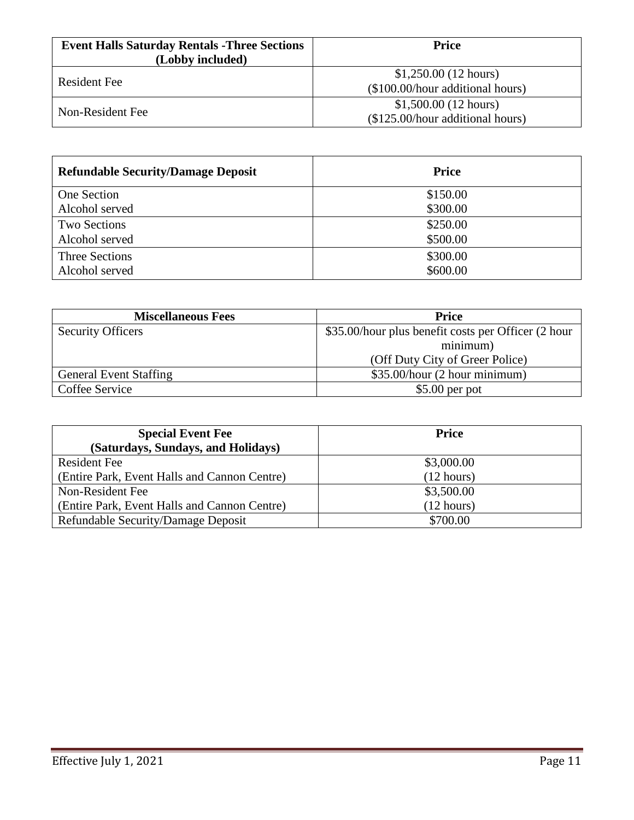| <b>Event Halls Saturday Rentals - Three Sections</b><br>(Lobby included) | Price                                                             |
|--------------------------------------------------------------------------|-------------------------------------------------------------------|
| Resident Fee                                                             | $$1,250.00(12 \text{ hours})$<br>(\$100.00/hour additional hours) |
| Non-Resident Fee                                                         | $$1,500.00(12 \text{ hours})$<br>(\$125.00/hour additional hours) |

| <b>Refundable Security/Damage Deposit</b> | <b>Price</b> |
|-------------------------------------------|--------------|
| One Section                               | \$150.00     |
| Alcohol served                            | \$300.00     |
| <b>Two Sections</b>                       | \$250.00     |
| Alcohol served                            | \$500.00     |
| <b>Three Sections</b>                     | \$300.00     |
| Alcohol served                            | \$600.00     |

| <b>Miscellaneous Fees</b>     | <b>Price</b>                                        |
|-------------------------------|-----------------------------------------------------|
| <b>Security Officers</b>      | \$35.00/hour plus benefit costs per Officer (2 hour |
|                               | minimum)                                            |
|                               | (Off Duty City of Greer Police)                     |
| <b>General Event Staffing</b> | \$35.00/hour (2 hour minimum)                       |
| Coffee Service                | $$5.00$ per pot                                     |

| <b>Special Event Fee</b>                     | <b>Price</b> |
|----------------------------------------------|--------------|
| (Saturdays, Sundays, and Holidays)           |              |
| <b>Resident Fee</b>                          | \$3,000.00   |
| (Entire Park, Event Halls and Cannon Centre) | (12 hours)   |
| Non-Resident Fee                             | \$3,500.00   |
| (Entire Park, Event Halls and Cannon Centre) | (12 hours)   |
| Refundable Security/Damage Deposit           | \$700.00     |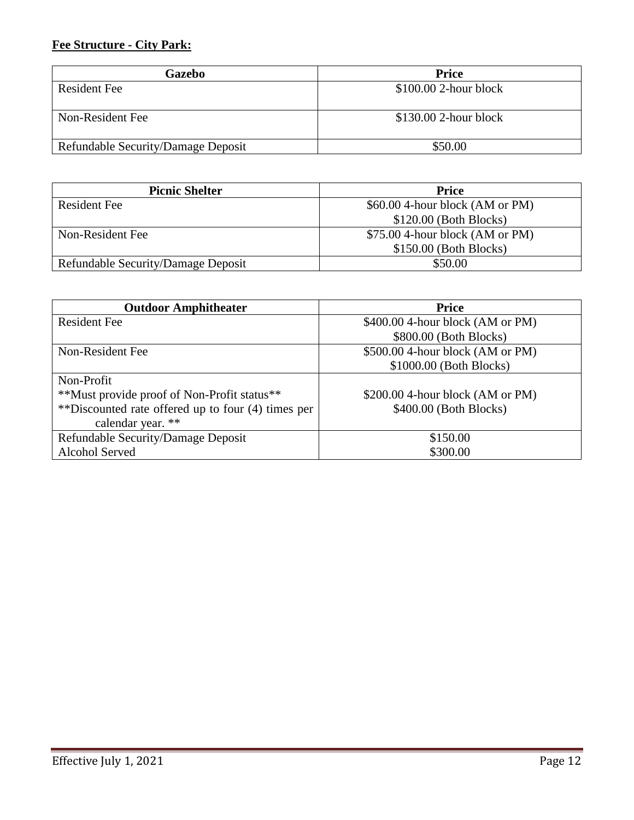## **Fee Structure - City Park:**

| Gazebo                                    | <b>Price</b>           |
|-------------------------------------------|------------------------|
| <b>Resident Fee</b>                       | $$100.00$ 2-hour block |
| Non-Resident Fee                          | $$130.00$ 2-hour block |
| <b>Refundable Security/Damage Deposit</b> | \$50.00                |

| <b>Picnic Shelter</b>              | <b>Price</b>                     |
|------------------------------------|----------------------------------|
| Resident Fee                       | $$60.00$ 4-hour block (AM or PM) |
|                                    | $$120.00$ (Both Blocks)          |
| Non-Resident Fee                   | $$75.00$ 4-hour block (AM or PM) |
|                                    | $$150.00$ (Both Blocks)          |
| Refundable Security/Damage Deposit | \$50.00                          |

| <b>Outdoor Amphitheater</b>                        | <b>Price</b>                      |
|----------------------------------------------------|-----------------------------------|
| <b>Resident Fee</b>                                | $$400.00$ 4-hour block (AM or PM) |
|                                                    | \$800.00 (Both Blocks)            |
| Non-Resident Fee                                   | \$500.00 4-hour block (AM or PM)  |
|                                                    | \$1000.00 (Both Blocks)           |
| Non-Profit                                         |                                   |
| **Must provide proof of Non-Profit status**        | $$200.00$ 4-hour block (AM or PM) |
| **Discounted rate offered up to four (4) times per | $$400.00$ (Both Blocks)           |
| calendar year. **                                  |                                   |
| Refundable Security/Damage Deposit                 | \$150.00                          |
| Alcohol Served                                     | \$300.00                          |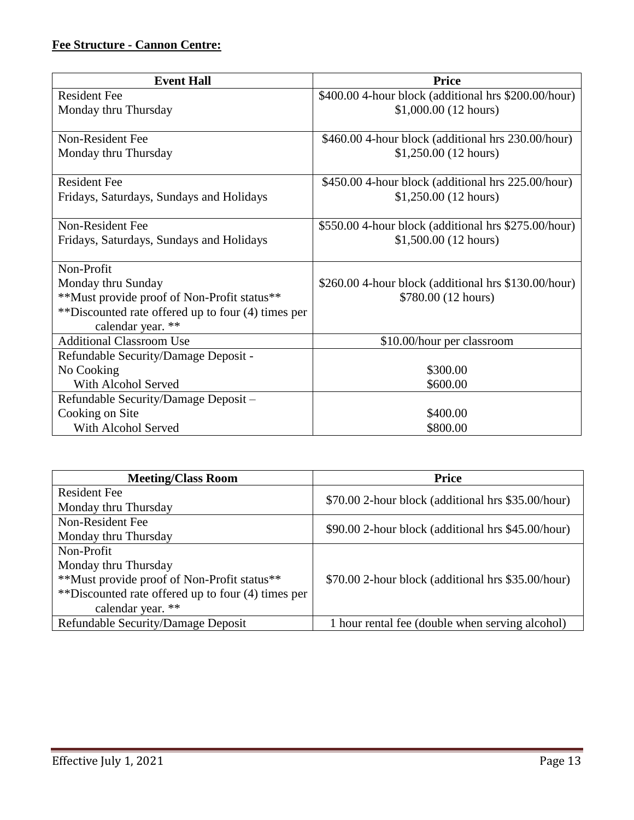# **Fee Structure - Cannon Centre:**

| <b>Event Hall</b>                                  | <b>Price</b>                                            |
|----------------------------------------------------|---------------------------------------------------------|
| <b>Resident Fee</b>                                | \$400.00 4-hour block (additional hrs \$200.00/hour)    |
| Monday thru Thursday                               | $$1,000.00(12)$ hours)                                  |
|                                                    |                                                         |
| Non-Resident Fee                                   | \$460.00 4-hour block (additional hrs 230.00/hour)      |
| Monday thru Thursday                               | \$1,250.00(12 hours)                                    |
|                                                    |                                                         |
| <b>Resident Fee</b>                                | \$450.00 4-hour block (additional hrs 225.00/hour)      |
| Fridays, Saturdays, Sundays and Holidays           | $$1,250.00$ (12 hours)                                  |
|                                                    |                                                         |
| Non-Resident Fee                                   | \$550.00 4-hour block (additional hrs \$275.00/hour)    |
| Fridays, Saturdays, Sundays and Holidays           | $$1,500.00(12)$ hours)                                  |
| Non-Profit                                         |                                                         |
| Monday thru Sunday                                 | $$260.00$ 4-hour block (additional hrs $$130.00/hour$ ) |
| **Must provide proof of Non-Profit status**        | \$780.00 (12 hours)                                     |
| **Discounted rate offered up to four (4) times per |                                                         |
| calendar year. **                                  |                                                         |
| <b>Additional Classroom Use</b>                    | \$10.00/hour per classroom                              |
| Refundable Security/Damage Deposit -               |                                                         |
| No Cooking                                         | \$300.00                                                |
| With Alcohol Served                                | \$600.00                                                |
| Refundable Security/Damage Deposit -               |                                                         |
| Cooking on Site                                    | \$400.00                                                |
| With Alcohol Served                                | \$800.00                                                |

| <b>Meeting/Class Room</b>                          | <b>Price</b>                                       |
|----------------------------------------------------|----------------------------------------------------|
| <b>Resident Fee</b>                                | \$70.00 2-hour block (additional hrs \$35.00/hour) |
| Monday thru Thursday                               |                                                    |
| Non-Resident Fee                                   | \$90.00 2-hour block (additional hrs \$45.00/hour) |
| Monday thru Thursday                               |                                                    |
| Non-Profit                                         |                                                    |
| Monday thru Thursday                               |                                                    |
| **Must provide proof of Non-Profit status**        | \$70.00 2-hour block (additional hrs \$35.00/hour) |
| **Discounted rate offered up to four (4) times per |                                                    |
| calendar year. **                                  |                                                    |
| Refundable Security/Damage Deposit                 | 1 hour rental fee (double when serving alcohol)    |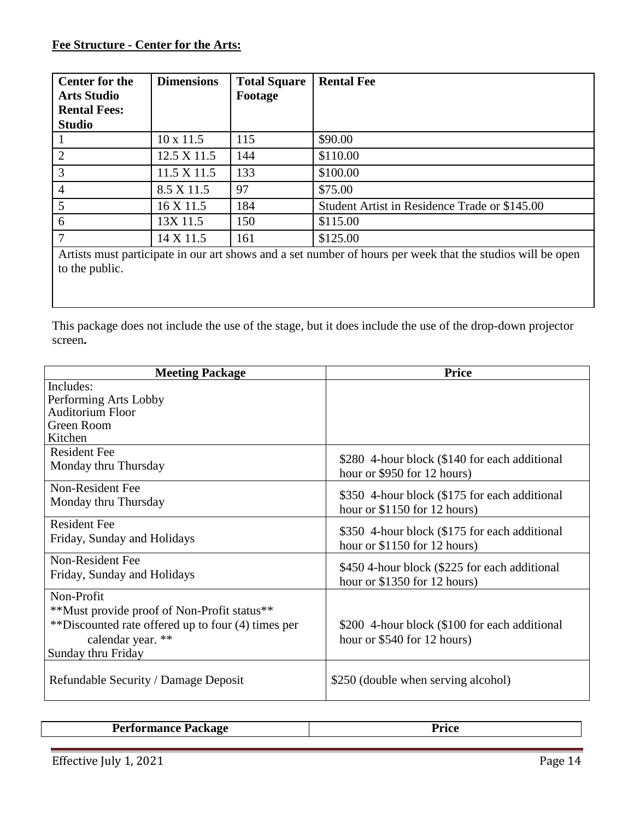### **Fee Structure - Center for the Arts:**

| <b>Dimensions</b> | <b>Total Square</b><br>Footage | <b>Rental Fee</b>                                                                                            |
|-------------------|--------------------------------|--------------------------------------------------------------------------------------------------------------|
| $10 \times 11.5$  | 115                            | \$90.00                                                                                                      |
| 12.5 X 11.5       | 144                            | \$110.00                                                                                                     |
| 11.5 X 11.5       | 133                            | \$100.00                                                                                                     |
| 8.5 X 11.5        | 97                             | \$75.00                                                                                                      |
| $16 \times 11.5$  | 184                            | Student Artist in Residence Trade or \$145.00                                                                |
| 13X 11.5          | 150                            | \$115.00                                                                                                     |
| 14 X 11.5         | 161                            | \$125.00                                                                                                     |
|                   |                                | Antight monet montiginate in one out above and a get monkey of home non-vecely that the studies will be away |

Artists must participate in our art shows and a set number of hours per week that the studios will be open to the public.

This package does not include the use of the stage, but it does include the use of the drop-down projector screen**.**

| <b>Meeting Package</b>                             | <b>Price</b>                                  |
|----------------------------------------------------|-----------------------------------------------|
| Includes:                                          |                                               |
| Performing Arts Lobby                              |                                               |
| <b>Auditorium Floor</b>                            |                                               |
| Green Room                                         |                                               |
| Kitchen                                            |                                               |
| <b>Resident Fee</b>                                | \$280 4-hour block (\$140 for each additional |
| Monday thru Thursday                               | hour or \$950 for 12 hours)                   |
| Non-Resident Fee                                   | \$350 4-hour block (\$175 for each additional |
| Monday thru Thursday                               | hour or $$1150$ for 12 hours)                 |
| <b>Resident Fee</b>                                |                                               |
| Friday, Sunday and Holidays                        | \$350 4-hour block (\$175 for each additional |
|                                                    | hour or \$1150 for 12 hours)                  |
| Non-Resident Fee                                   | \$450 4-hour block (\$225 for each additional |
| Friday, Sunday and Holidays                        | hour or $$1350$ for 12 hours)                 |
| Non-Profit                                         |                                               |
| **Must provide proof of Non-Profit status**        |                                               |
| **Discounted rate offered up to four (4) times per | \$200 4-hour block (\$100 for each additional |
| calendar year. **                                  | hour or $$540$ for 12 hours)                  |
| Sunday thru Friday                                 |                                               |
|                                                    |                                               |
| Refundable Security / Damage Deposit               | \$250 (double when serving alcohol)           |
|                                                    |                                               |

| D. <b>.</b><br>$\mathbf{L}$<br>-<br>-<br>--<br>$ -$ |  |
|-----------------------------------------------------|--|
|                                                     |  |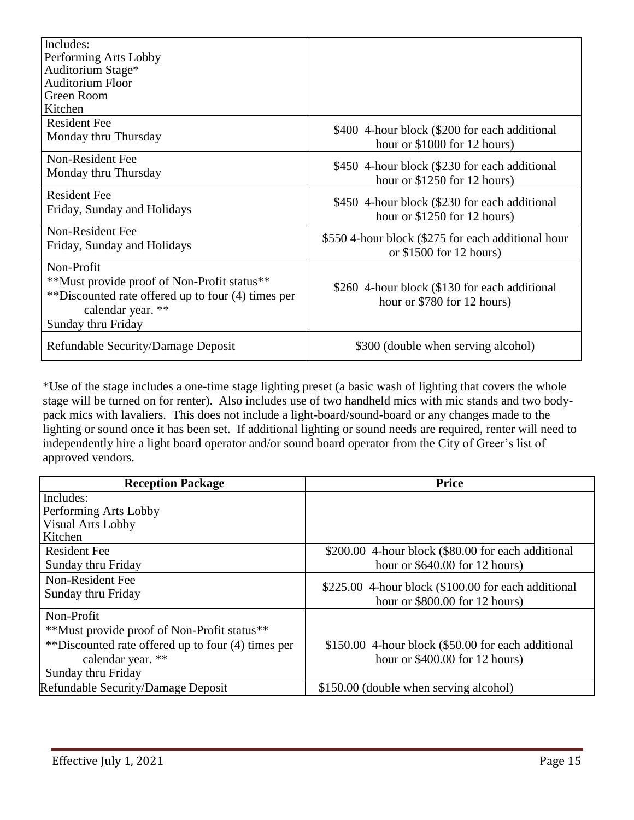| Includes:                                          |                                                                                |
|----------------------------------------------------|--------------------------------------------------------------------------------|
| Performing Arts Lobby                              |                                                                                |
| Auditorium Stage*                                  |                                                                                |
| <b>Auditorium Floor</b>                            |                                                                                |
| Green Room                                         |                                                                                |
| Kitchen                                            |                                                                                |
| <b>Resident Fee</b>                                |                                                                                |
| Monday thru Thursday                               | \$400 4-hour block (\$200 for each additional<br>hour or $$1000$ for 12 hours) |
| Non-Resident Fee                                   |                                                                                |
| Monday thru Thursday                               | \$450 4-hour block (\$230 for each additional                                  |
|                                                    | hour or $$1250$ for 12 hours)                                                  |
| <b>Resident Fee</b>                                | \$450 4-hour block (\$230 for each additional                                  |
| Friday, Sunday and Holidays                        | hour or $$1250$ for 12 hours)                                                  |
| Non-Resident Fee                                   |                                                                                |
| Friday, Sunday and Holidays                        | \$550 4-hour block (\$275 for each additional hour                             |
|                                                    | or $$1500$ for 12 hours)                                                       |
| Non-Profit                                         |                                                                                |
| **Must provide proof of Non-Profit status**        | \$260 4-hour block (\$130 for each additional                                  |
| **Discounted rate offered up to four (4) times per | hour or \$780 for 12 hours)                                                    |
| calendar year. **                                  |                                                                                |
| Sunday thru Friday                                 |                                                                                |
|                                                    |                                                                                |
| Refundable Security/Damage Deposit                 | \$300 (double when serving alcohol)                                            |

\*Use of the stage includes a one-time stage lighting preset (a basic wash of lighting that covers the whole stage will be turned on for renter). Also includes use of two handheld mics with mic stands and two bodypack mics with lavaliers. This does not include a light-board/sound-board or any changes made to the lighting or sound once it has been set. If additional lighting or sound needs are required, renter will need to independently hire a light board operator and/or sound board operator from the City of Greer's list of approved vendors.

| <b>Reception Package</b>                           | <b>Price</b>                                         |
|----------------------------------------------------|------------------------------------------------------|
| Includes:                                          |                                                      |
| Performing Arts Lobby                              |                                                      |
| <b>Visual Arts Lobby</b>                           |                                                      |
| Kitchen                                            |                                                      |
| <b>Resident Fee</b>                                | \$200.00 4-hour block (\$80.00 for each additional   |
| Sunday thru Friday                                 | hour or $$640.00$ for 12 hours)                      |
| Non-Resident Fee                                   |                                                      |
| Sunday thru Friday                                 | $$225.00$ 4-hour block (\$100.00 for each additional |
|                                                    | hour or $$800.00$ for 12 hours)                      |
| Non-Profit                                         |                                                      |
| **Must provide proof of Non-Profit status**        |                                                      |
| **Discounted rate offered up to four (4) times per | \$150.00 4-hour block (\$50.00 for each additional   |
| calendar year. **                                  | hour or $$400.00$ for 12 hours)                      |
| Sunday thru Friday                                 |                                                      |
| <b>Refundable Security/Damage Deposit</b>          | \$150.00 (double when serving alcohol)               |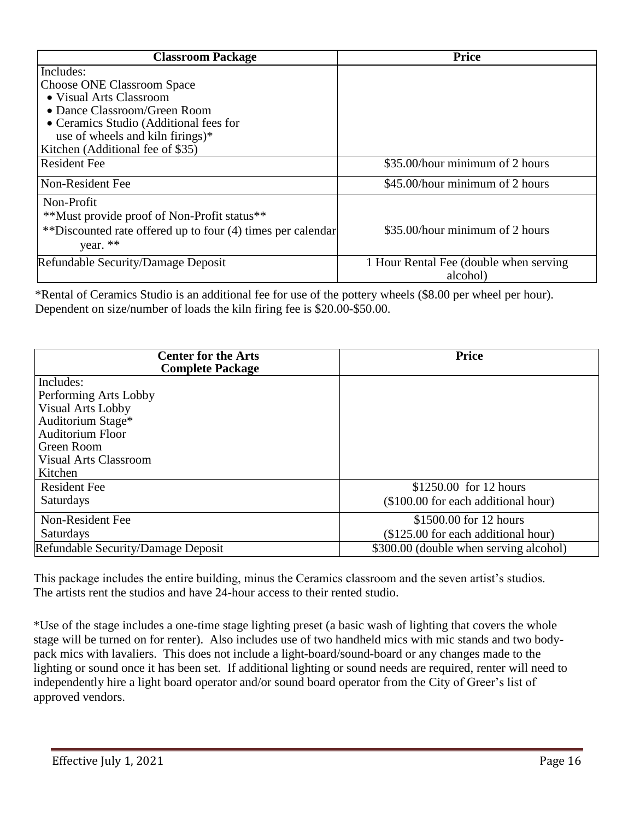| <b>Classroom Package</b>                                    | <b>Price</b>                           |
|-------------------------------------------------------------|----------------------------------------|
| Includes:                                                   |                                        |
| <b>Choose ONE Classroom Space</b>                           |                                        |
| • Visual Arts Classroom                                     |                                        |
| • Dance Classroom/Green Room                                |                                        |
| • Ceramics Studio (Additional fees for                      |                                        |
| use of wheels and kiln firings)*                            |                                        |
| Kitchen (Additional fee of \$35)                            |                                        |
| <b>Resident Fee</b>                                         | \$35.00/hour minimum of 2 hours        |
| Non-Resident Fee                                            | \$45.00/hour minimum of 2 hours        |
| Non-Profit                                                  |                                        |
| **Must provide proof of Non-Profit status**                 |                                        |
| **Discounted rate offered up to four (4) times per calendar | \$35.00/hour minimum of 2 hours        |
| year. **                                                    |                                        |
| Refundable Security/Damage Deposit                          | 1 Hour Rental Fee (double when serving |
|                                                             | alcohol)                               |

\*Rental of Ceramics Studio is an additional fee for use of the pottery wheels (\$8.00 per wheel per hour). Dependent on size/number of loads the kiln firing fee is \$20.00-\$50.00.

| <b>Center for the Arts</b><br><b>Complete Package</b> | <b>Price</b>                           |
|-------------------------------------------------------|----------------------------------------|
| Includes:                                             |                                        |
| Performing Arts Lobby                                 |                                        |
| <b>Visual Arts Lobby</b>                              |                                        |
| Auditorium Stage*                                     |                                        |
| <b>Auditorium Floor</b>                               |                                        |
| Green Room                                            |                                        |
| <b>Visual Arts Classroom</b>                          |                                        |
| Kitchen                                               |                                        |
| Resident Fee                                          | \$1250.00 for 12 hours                 |
| Saturdays                                             | (\$100.00 for each additional hour)    |
| Non-Resident Fee                                      | \$1500.00 for 12 hours                 |
| Saturdays                                             | (\$125.00 for each additional hour)    |
| Refundable Security/Damage Deposit                    | \$300.00 (double when serving alcohol) |

This package includes the entire building, minus the Ceramics classroom and the seven artist's studios. The artists rent the studios and have 24-hour access to their rented studio.

\*Use of the stage includes a one-time stage lighting preset (a basic wash of lighting that covers the whole stage will be turned on for renter). Also includes use of two handheld mics with mic stands and two bodypack mics with lavaliers. This does not include a light-board/sound-board or any changes made to the lighting or sound once it has been set. If additional lighting or sound needs are required, renter will need to independently hire a light board operator and/or sound board operator from the City of Greer's list of approved vendors.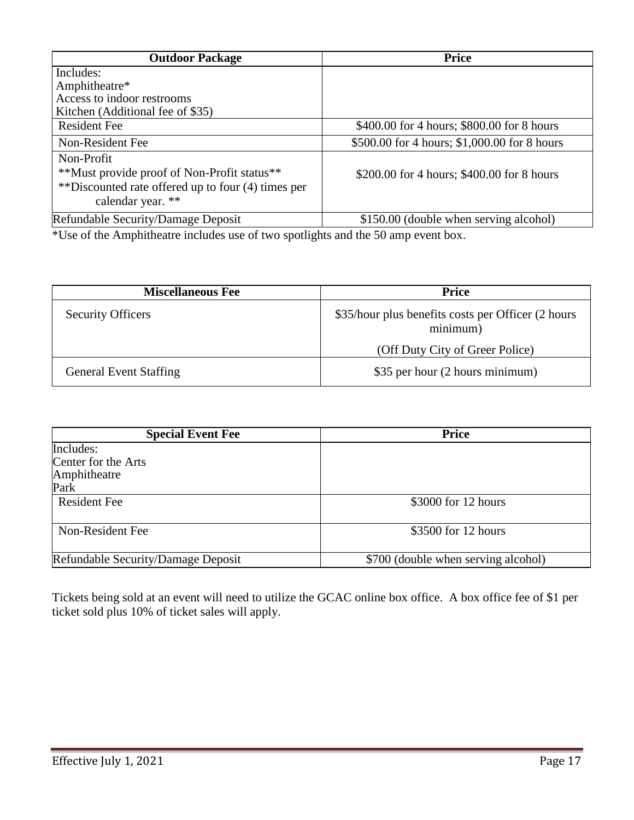| <b>Price</b>                                 |
|----------------------------------------------|
|                                              |
|                                              |
|                                              |
|                                              |
| \$400.00 for 4 hours; \$800.00 for 8 hours   |
| \$500.00 for 4 hours; \$1,000.00 for 8 hours |
|                                              |
| \$200.00 for 4 hours; \$400.00 for 8 hours   |
|                                              |
|                                              |
| \$150.00 (double when serving alcohol)       |
|                                              |

\*Use of the Amphitheatre includes use of two spotlights and the 50 amp event box.

| <b>Miscellaneous Fee</b>      | Price                                                           |
|-------------------------------|-----------------------------------------------------------------|
| <b>Security Officers</b>      | \$35/hour plus benefits costs per Officer (2 hours)<br>minimum) |
|                               | (Off Duty City of Greer Police)                                 |
| <b>General Event Staffing</b> | \$35 per hour (2 hours minimum)                                 |

| <b>Special Event Fee</b>           | <b>Price</b>                        |
|------------------------------------|-------------------------------------|
| Includes:                          |                                     |
| Center for the Arts                |                                     |
| Amphitheatre                       |                                     |
| Park                               |                                     |
| <b>Resident Fee</b>                | \$3000 for 12 hours                 |
|                                    |                                     |
| Non-Resident Fee                   | \$3500 for 12 hours                 |
|                                    |                                     |
| Refundable Security/Damage Deposit | \$700 (double when serving alcohol) |

Tickets being sold at an event will need to utilize the GCAC online box office. A box office fee of \$1 per ticket sold plus 10% of ticket sales will apply.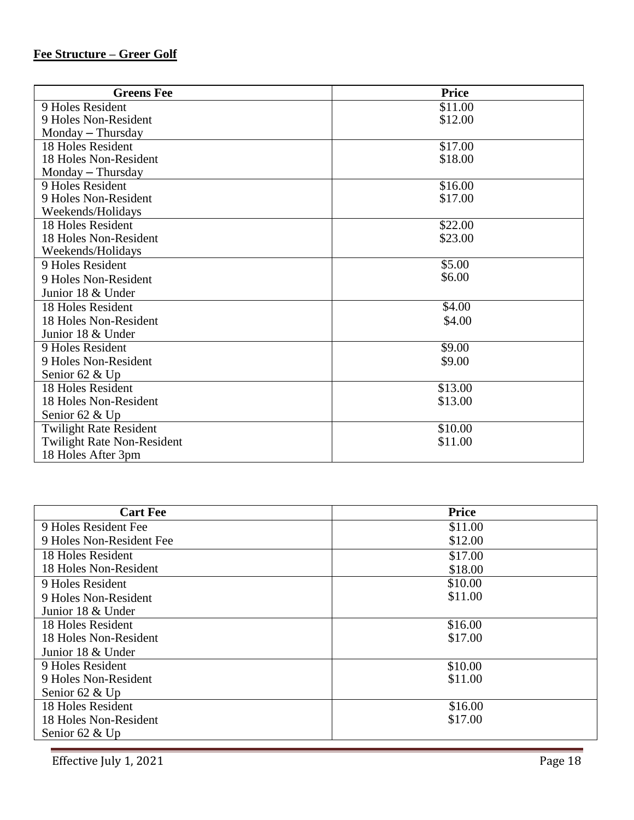#### **Fee Structure – Greer Golf**

| <b>Greens Fee</b>                 | <b>Price</b> |
|-----------------------------------|--------------|
| 9 Holes Resident                  | \$11.00      |
| 9 Holes Non-Resident              | \$12.00      |
| Monday - Thursday                 |              |
| 18 Holes Resident                 | \$17.00      |
| 18 Holes Non-Resident             | \$18.00      |
| Monday - Thursday                 |              |
| 9 Holes Resident                  | \$16.00      |
| 9 Holes Non-Resident              | \$17.00      |
| Weekends/Holidays                 |              |
| 18 Holes Resident                 | \$22.00      |
| 18 Holes Non-Resident             | \$23.00      |
| Weekends/Holidays                 |              |
| 9 Holes Resident                  | \$5.00       |
| 9 Holes Non-Resident              | \$6.00       |
| Junior 18 & Under                 |              |
| 18 Holes Resident                 | \$4.00       |
| 18 Holes Non-Resident             | \$4.00       |
| Junior 18 & Under                 |              |
| 9 Holes Resident                  | \$9.00       |
| 9 Holes Non-Resident              | \$9.00       |
| Senior 62 & Up                    |              |
| 18 Holes Resident                 | \$13.00      |
| 18 Holes Non-Resident             | \$13.00      |
| Senior 62 & Up                    |              |
| <b>Twilight Rate Resident</b>     | \$10.00      |
| <b>Twilight Rate Non-Resident</b> | \$11.00      |
| 18 Holes After 3pm                |              |

| <b>Cart Fee</b>          | <b>Price</b> |
|--------------------------|--------------|
| 9 Holes Resident Fee     | \$11.00      |
| 9 Holes Non-Resident Fee | \$12.00      |
| 18 Holes Resident        | \$17.00      |
| 18 Holes Non-Resident    | \$18.00      |
| 9 Holes Resident         | \$10.00      |
| 9 Holes Non-Resident     | \$11.00      |
| Junior 18 & Under        |              |
| 18 Holes Resident        | \$16.00      |
| 18 Holes Non-Resident    | \$17.00      |
| Junior 18 & Under        |              |
| 9 Holes Resident         | \$10.00      |
| 9 Holes Non-Resident     | \$11.00      |
| Senior 62 & Up           |              |
| 18 Holes Resident        | \$16.00      |
| 18 Holes Non-Resident    | \$17.00      |
| Senior $62 \& Up$        |              |

Effective July 1, 2021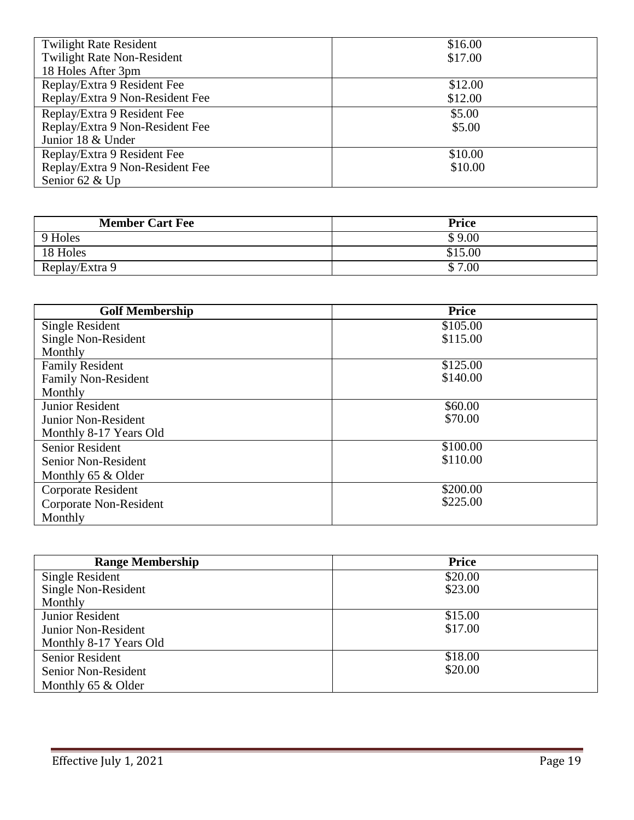| <b>Twilight Rate Resident</b>     | \$16.00 |
|-----------------------------------|---------|
| <b>Twilight Rate Non-Resident</b> | \$17.00 |
| 18 Holes After 3pm                |         |
| Replay/Extra 9 Resident Fee       | \$12.00 |
| Replay/Extra 9 Non-Resident Fee   | \$12.00 |
| Replay/Extra 9 Resident Fee       | \$5.00  |
| Replay/Extra 9 Non-Resident Fee   | \$5.00  |
| Junior 18 & Under                 |         |
| Replay/Extra 9 Resident Fee       | \$10.00 |
| Replay/Extra 9 Non-Resident Fee   | \$10.00 |
| Senior 62 & Up                    |         |

| <b>Member Cart Fee</b> | <b>Price</b> |
|------------------------|--------------|
| 9 Holes                | \$9.00       |
| 18 Holes               | \$15.00      |
| Replay/Extra 9         | \$7.00       |

| <b>Golf Membership</b>     | <b>Price</b> |
|----------------------------|--------------|
| <b>Single Resident</b>     | \$105.00     |
| Single Non-Resident        | \$115.00     |
| Monthly                    |              |
| <b>Family Resident</b>     | \$125.00     |
| <b>Family Non-Resident</b> | \$140.00     |
| Monthly                    |              |
| <b>Junior Resident</b>     | \$60.00      |
| Junior Non-Resident        | \$70.00      |
| Monthly 8-17 Years Old     |              |
| <b>Senior Resident</b>     | \$100.00     |
| Senior Non-Resident        | \$110.00     |
| Monthly 65 & Older         |              |
| Corporate Resident         | \$200.00     |
| Corporate Non-Resident     | \$225.00     |
| Monthly                    |              |

| <b>Range Membership</b> | <b>Price</b> |
|-------------------------|--------------|
| Single Resident         | \$20.00      |
| Single Non-Resident     | \$23.00      |
| Monthly                 |              |
| <b>Junior Resident</b>  | \$15.00      |
| Junior Non-Resident     | \$17.00      |
| Monthly 8-17 Years Old  |              |
| <b>Senior Resident</b>  | \$18.00      |
| Senior Non-Resident     | \$20.00      |
| Monthly 65 & Older      |              |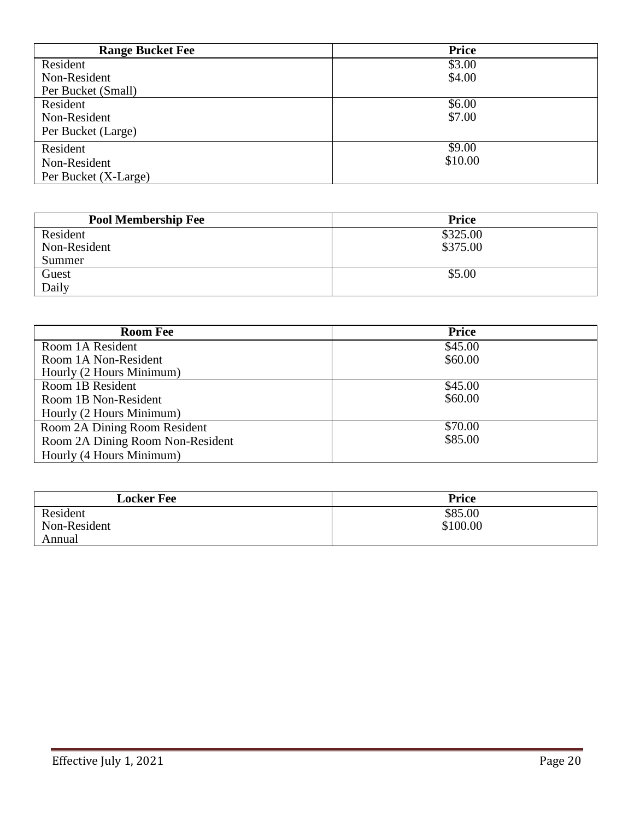| <b>Range Bucket Fee</b> | <b>Price</b> |
|-------------------------|--------------|
| Resident                | \$3.00       |
| Non-Resident            | \$4.00       |
| Per Bucket (Small)      |              |
| Resident                | \$6.00       |
| Non-Resident            | \$7.00       |
| Per Bucket (Large)      |              |
| Resident                | \$9.00       |
| Non-Resident            | \$10.00      |
| Per Bucket (X-Large)    |              |

| <b>Pool Membership Fee</b> | <b>Price</b> |
|----------------------------|--------------|
| Resident                   | \$325.00     |
| Non-Resident               | \$375.00     |
| Summer                     |              |
| Guest                      | \$5.00       |
| Daily                      |              |

| <b>Room Fee</b>                  | <b>Price</b> |
|----------------------------------|--------------|
| Room 1A Resident                 | \$45.00      |
| Room 1A Non-Resident             | \$60.00      |
| Hourly (2 Hours Minimum)         |              |
| Room 1B Resident                 | \$45.00      |
| Room 1B Non-Resident             | \$60.00      |
| Hourly (2 Hours Minimum)         |              |
| Room 2A Dining Room Resident     | \$70.00      |
| Room 2A Dining Room Non-Resident | \$85.00      |
| Hourly (4 Hours Minimum)         |              |

| <b>Locker Fee</b> | <b>Price</b> |
|-------------------|--------------|
| Resident          | \$85.00      |
| Non-Resident      | \$100.00     |
| Annual            |              |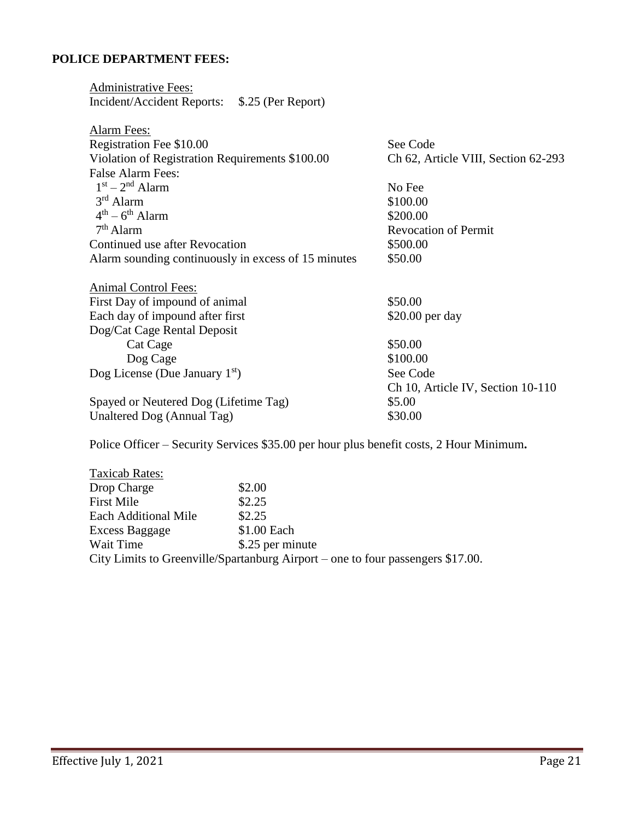## **POLICE DEPARTMENT FEES:**

| <b>Administrative Fees:</b>                         |                                     |
|-----------------------------------------------------|-------------------------------------|
| Incident/Accident Reports: \$.25 (Per Report)       |                                     |
|                                                     |                                     |
| <b>Alarm Fees:</b>                                  |                                     |
| Registration Fee \$10.00                            | See Code                            |
| Violation of Registration Requirements \$100.00     | Ch 62, Article VIII, Section 62-293 |
| <b>False Alarm Fees:</b>                            |                                     |
| $1st - 2nd$ Alarm                                   | No Fee                              |
| $3rd$ Alarm                                         | \$100.00                            |
| $4th - 6th$ Alarm                                   | \$200.00                            |
| $7th$ Alarm                                         | <b>Revocation of Permit</b>         |
| Continued use after Revocation                      | \$500.00                            |
| Alarm sounding continuously in excess of 15 minutes | \$50.00                             |
| <b>Animal Control Fees:</b>                         |                                     |
| First Day of impound of animal                      | \$50.00                             |
| Each day of impound after first                     | \$20.00 per day                     |
| Dog/Cat Cage Rental Deposit                         |                                     |
| Cat Cage                                            | \$50.00                             |
| Dog Cage                                            | \$100.00                            |
| Dog License (Due January $1st$ )                    | See Code                            |
|                                                     | Ch 10, Article IV, Section 10-110   |
| Spayed or Neutered Dog (Lifetime Tag)               | \$5.00                              |
|                                                     |                                     |
| Unaltered Dog (Annual Tag)                          | \$30.00                             |

Police Officer – Security Services \$35.00 per hour plus benefit costs, 2 Hour Minimum**.**

| Taxicab Rates:              |                                                                                 |
|-----------------------------|---------------------------------------------------------------------------------|
| Drop Charge                 | \$2.00                                                                          |
| <b>First Mile</b>           | \$2.25                                                                          |
| <b>Each Additional Mile</b> | \$2.25                                                                          |
| Excess Baggage              | \$1.00 Each                                                                     |
| Wait Time                   | \$.25 per minute                                                                |
|                             | City Limits to Greenville/Spartanburg Airport – one to four passengers \$17.00. |